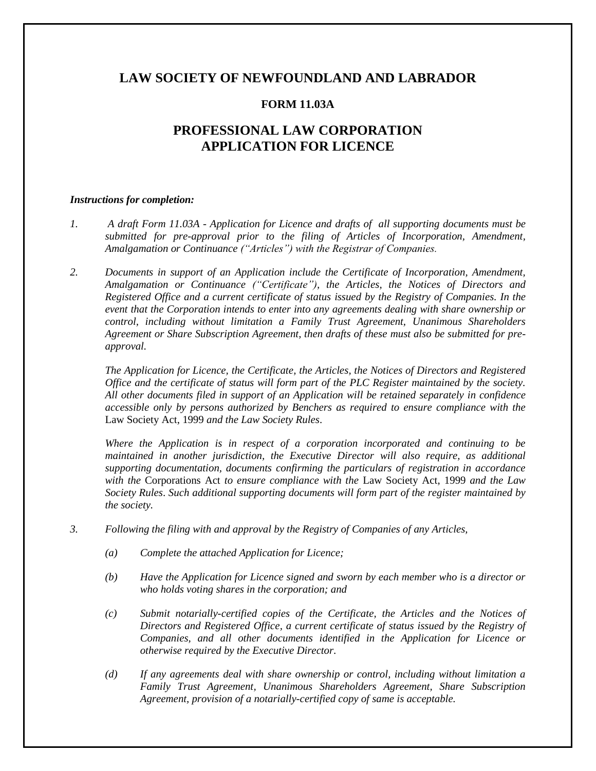# **LAW SOCIETY OF NEWFOUNDLAND AND LABRADOR**

# **FORM 11.03A**

# **PROFESSIONAL LAW CORPORATION APPLICATION FOR LICENCE**

#### *Instructions for completion:*

- *1. A draft Form 11.03A - Application for Licence and drafts of all supporting documents must be submitted for pre-approval prior to the filing of Articles of Incorporation, Amendment, Amalgamation or Continuance ("Articles") with the Registrar of Companies.*
- *2. Documents in support of an Application include the Certificate of Incorporation, Amendment, Amalgamation or Continuance ("Certificate"), the Articles, the Notices of Directors and Registered Office and a current certificate of status issued by the Registry of Companies. In the event that the Corporation intends to enter into any agreements dealing with share ownership or control, including without limitation a Family Trust Agreement, Unanimous Shareholders Agreement or Share Subscription Agreement, then drafts of these must also be submitted for preapproval.*

*The Application for Licence, the Certificate, the Articles, the Notices of Directors and Registered Office and the certificate of status will form part of the PLC Register maintained by the society. All other documents filed in support of an Application will be retained separately in confidence accessible only by persons authorized by Benchers as required to ensure compliance with the*  Law Society Act, 1999 *and the Law Society Rules*.

*Where the Application is in respect of a corporation incorporated and continuing to be maintained in another jurisdiction, the Executive Director will also require, as additional supporting documentation, documents confirming the particulars of registration in accordance with the* Corporations Act *to ensure compliance with the* Law Society Act, 1999 *and the Law Society Rules*. *Such additional supporting documents will form part of the register maintained by the society.*

- *3. Following the filing with and approval by the Registry of Companies of any Articles,*
	- *(a) Complete the attached Application for Licence;*
	- *(b) Have the Application for Licence signed and sworn by each member who is a director or who holds voting shares in the corporation; and*
	- *(c) Submit notarially-certified copies of the Certificate, the Articles and the Notices of Directors and Registered Office, a current certificate of status issued by the Registry of Companies, and all other documents identified in the Application for Licence or otherwise required by the Executive Director.*
	- *(d) If any agreements deal with share ownership or control, including without limitation a Family Trust Agreement, Unanimous Shareholders Agreement, Share Subscription Agreement, provision of a notarially-certified copy of same is acceptable.*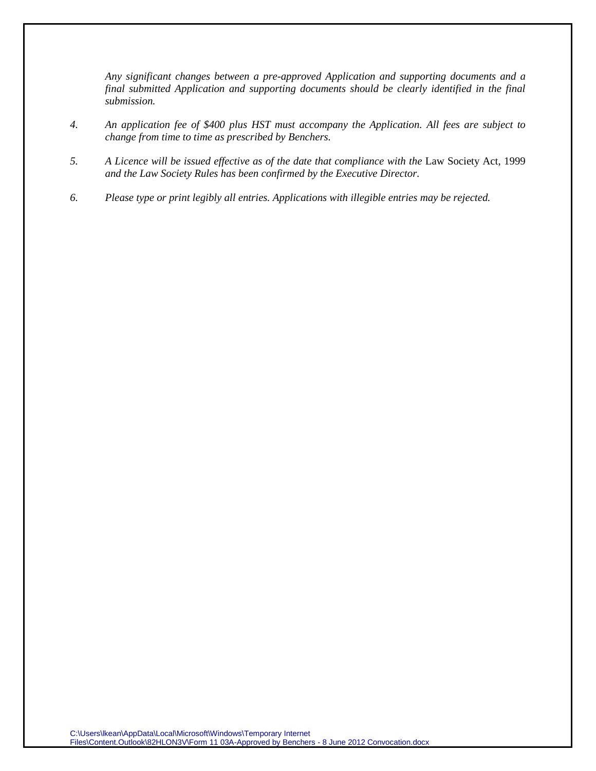*Any significant changes between a pre-approved Application and supporting documents and a final submitted Application and supporting documents should be clearly identified in the final submission.*

- *4. An application fee of \$400 plus HST must accompany the Application. All fees are subject to change from time to time as prescribed by Benchers.*
- *5. A Licence will be issued effective as of the date that compliance with the* Law Society Act, 1999 *and the Law Society Rules has been confirmed by the Executive Director.*
- *6. Please type or print legibly all entries. Applications with illegible entries may be rejected.*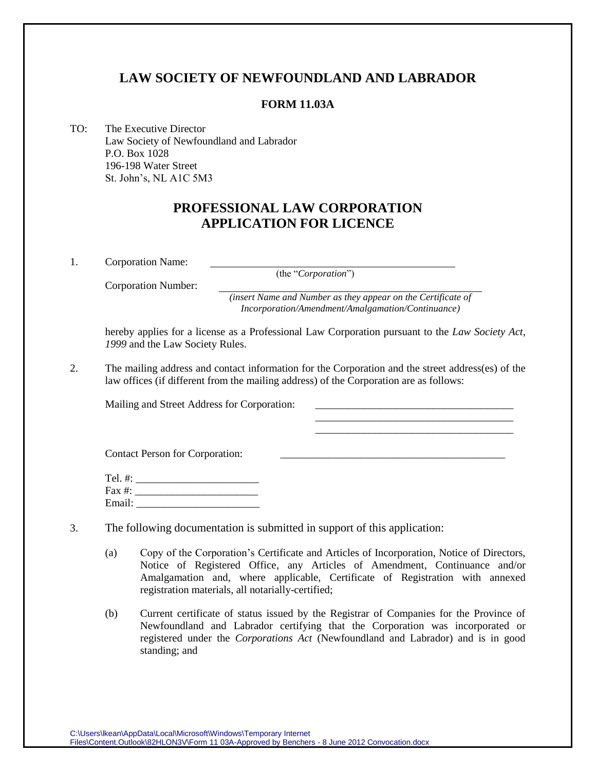# **LAW SOCIETY OF NEWFOUNDLAND AND LABRADOR**

## **FORM 11.03A**

TO: The Executive Director Law Society of Newfoundland and Labrador P.O. Box 1028 196-198 Water Street St. John's, NL A1C 5M3

# **PROFESSIONAL LAW CORPORATION APPLICATION FOR LICENCE**

1. Corporation Name:

(the "*Corporation*")

Corporation Number:

*(insert Name and Number as they appear on the Certificate of Incorporation/Amendment/Amalgamation/Continuance)*

> \_\_\_\_\_\_\_\_\_\_\_\_\_\_\_\_\_\_\_\_\_\_\_\_\_\_\_\_\_\_\_\_\_\_\_\_\_ \_\_\_\_\_\_\_\_\_\_\_\_\_\_\_\_\_\_\_\_\_\_\_\_\_\_\_\_\_\_\_\_\_\_\_\_\_

hereby applies for a license as a Professional Law Corporation pursuant to the *Law Society Act, 1999* and the Law Society Rules.

2. The mailing address and contact information for the Corporation and the street address(es) of the law offices (if different from the mailing address) of the Corporation are as follows:

Mailing and Street Address for Corporation:

Contact Person for Corporation:

| Tel. #:   |  |
|-----------|--|
| Fax $#$ : |  |
| Email:    |  |

| 3. | The following documentation is submitted in support of this application: |  |  |
|----|--------------------------------------------------------------------------|--|--|
|    |                                                                          |  |  |

- (a) Copy of the Corporation's Certificate and Articles of Incorporation, Notice of Directors, Notice of Registered Office, any Articles of Amendment, Continuance and/or Amalgamation and, where applicable, Certificate of Registration with annexed registration materials, all notarially-certified;
- (b) Current certificate of status issued by the Registrar of Companies for the Province of Newfoundland and Labrador certifying that the Corporation was incorporated or registered under the *Corporations Act* (Newfoundland and Labrador) and is in good standing; and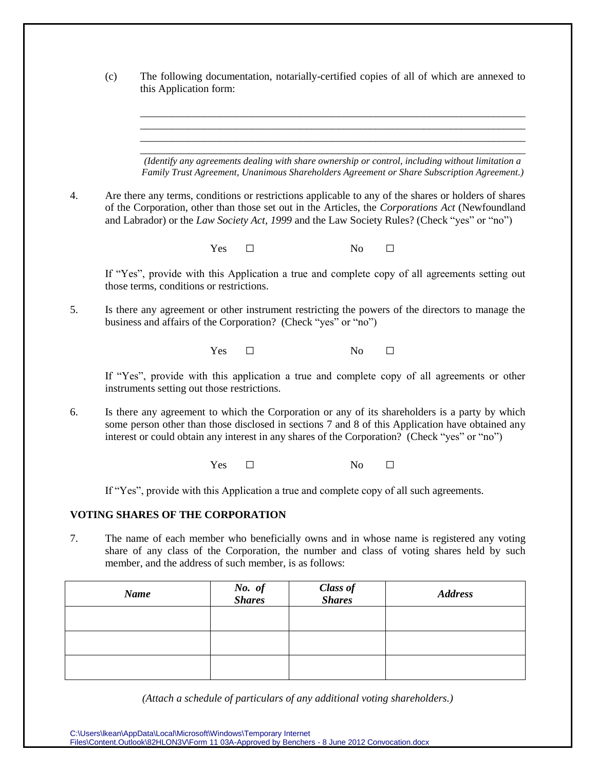|    | The following documentation, notarially-certified copies of all of which are annexed to<br>(c)<br>this Application form:                                                                                                                                                                            |                                                        |     |                         |                           |                                                                                                                                                                                                                                                                                                         |
|----|-----------------------------------------------------------------------------------------------------------------------------------------------------------------------------------------------------------------------------------------------------------------------------------------------------|--------------------------------------------------------|-----|-------------------------|---------------------------|---------------------------------------------------------------------------------------------------------------------------------------------------------------------------------------------------------------------------------------------------------------------------------------------------------|
|    |                                                                                                                                                                                                                                                                                                     |                                                        |     |                         |                           |                                                                                                                                                                                                                                                                                                         |
|    |                                                                                                                                                                                                                                                                                                     |                                                        |     |                         |                           |                                                                                                                                                                                                                                                                                                         |
|    |                                                                                                                                                                                                                                                                                                     |                                                        |     |                         |                           | (Identify any agreements dealing with share ownership or control, including without limitation a<br>Family Trust Agreement, Unanimous Shareholders Agreement or Share Subscription Agreement.)                                                                                                          |
| 4. |                                                                                                                                                                                                                                                                                                     |                                                        |     |                         |                           | Are there any terms, conditions or restrictions applicable to any of the shares or holders of shares<br>of the Corporation, other than those set out in the Articles, the Corporations Act (Newfoundland<br>and Labrador) or the Law Society Act, 1999 and the Law Society Rules? (Check "yes" or "no") |
|    |                                                                                                                                                                                                                                                                                                     |                                                        | Yes | $\Box$                  | No                        | $\Box$                                                                                                                                                                                                                                                                                                  |
|    |                                                                                                                                                                                                                                                                                                     | those terms, conditions or restrictions.               |     |                         |                           | If "Yes", provide with this Application a true and complete copy of all agreements setting out                                                                                                                                                                                                          |
| 5. | Is there any agreement or other instrument restricting the powers of the directors to manage the<br>business and affairs of the Corporation? (Check "yes" or "no")                                                                                                                                  |                                                        |     |                         |                           |                                                                                                                                                                                                                                                                                                         |
|    |                                                                                                                                                                                                                                                                                                     |                                                        | Yes | □                       | N <sub>0</sub>            | □                                                                                                                                                                                                                                                                                                       |
|    |                                                                                                                                                                                                                                                                                                     | instruments setting out those restrictions.            |     |                         |                           | If "Yes", provide with this application a true and complete copy of all agreements or other                                                                                                                                                                                                             |
| 6. | Is there any agreement to which the Corporation or any of its shareholders is a party by which<br>some person other than those disclosed in sections 7 and 8 of this Application have obtained any<br>interest or could obtain any interest in any shares of the Corporation? (Check "yes" or "no") |                                                        |     |                         |                           |                                                                                                                                                                                                                                                                                                         |
|    |                                                                                                                                                                                                                                                                                                     |                                                        | Yes | $\Box$                  | No                        | $\Box$                                                                                                                                                                                                                                                                                                  |
|    | If "Yes", provide with this Application a true and complete copy of all such agreements.                                                                                                                                                                                                            |                                                        |     |                         |                           |                                                                                                                                                                                                                                                                                                         |
|    |                                                                                                                                                                                                                                                                                                     | <b>VOTING SHARES OF THE CORPORATION</b>                |     |                         |                           |                                                                                                                                                                                                                                                                                                         |
| 7. |                                                                                                                                                                                                                                                                                                     | member, and the address of such member, is as follows: |     |                         |                           | The name of each member who beneficially owns and in whose name is registered any voting<br>share of any class of the Corporation, the number and class of voting shares held by such                                                                                                                   |
|    |                                                                                                                                                                                                                                                                                                     | <b>Name</b>                                            |     | No. of<br><b>Shares</b> | Class of<br><b>Shares</b> | <b>Address</b>                                                                                                                                                                                                                                                                                          |
|    |                                                                                                                                                                                                                                                                                                     |                                                        |     |                         |                           |                                                                                                                                                                                                                                                                                                         |
|    |                                                                                                                                                                                                                                                                                                     |                                                        |     |                         |                           |                                                                                                                                                                                                                                                                                                         |

*(Attach a schedule of particulars of any additional voting shareholders.)*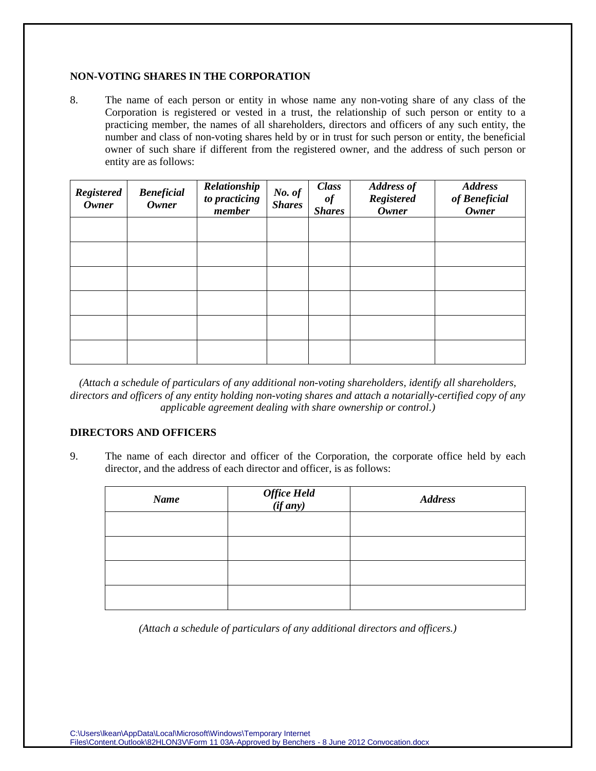#### **NON-VOTING SHARES IN THE CORPORATION**

8. The name of each person or entity in whose name any non-voting share of any class of the Corporation is registered or vested in a trust, the relationship of such person or entity to a practicing member, the names of all shareholders, directors and officers of any such entity, the number and class of non-voting shares held by or in trust for such person or entity, the beneficial owner of such share if different from the registered owner, and the address of such person or entity are as follows:

| <b>Registered</b><br><b>Owner</b> | <b>Beneficial</b><br><b>Owner</b> | Relationship<br>to practicing<br>member | No. of<br><b>Shares</b> | <b>Class</b><br>$\it{of}$<br><b>Shares</b> | <b>Address of</b><br><b>Registered</b><br><b>Owner</b> | <b>Address</b><br>of Beneficial<br><b>Owner</b> |
|-----------------------------------|-----------------------------------|-----------------------------------------|-------------------------|--------------------------------------------|--------------------------------------------------------|-------------------------------------------------|
|                                   |                                   |                                         |                         |                                            |                                                        |                                                 |
|                                   |                                   |                                         |                         |                                            |                                                        |                                                 |
|                                   |                                   |                                         |                         |                                            |                                                        |                                                 |
|                                   |                                   |                                         |                         |                                            |                                                        |                                                 |
|                                   |                                   |                                         |                         |                                            |                                                        |                                                 |
|                                   |                                   |                                         |                         |                                            |                                                        |                                                 |

*(Attach a schedule of particulars of any additional non-voting shareholders, identify all shareholders, directors and officers of any entity holding non-voting shares and attach a notarially-certified copy of any applicable agreement dealing with share ownership or control.)*

# **DIRECTORS AND OFFICERS**

9. The name of each director and officer of the Corporation, the corporate office held by each director, and the address of each director and officer, is as follows:

| <b>Name</b> | Office Held<br>(if any) | <b>Address</b> |
|-------------|-------------------------|----------------|
|             |                         |                |
|             |                         |                |
|             |                         |                |
|             |                         |                |

*(Attach a schedule of particulars of any additional directors and officers.)*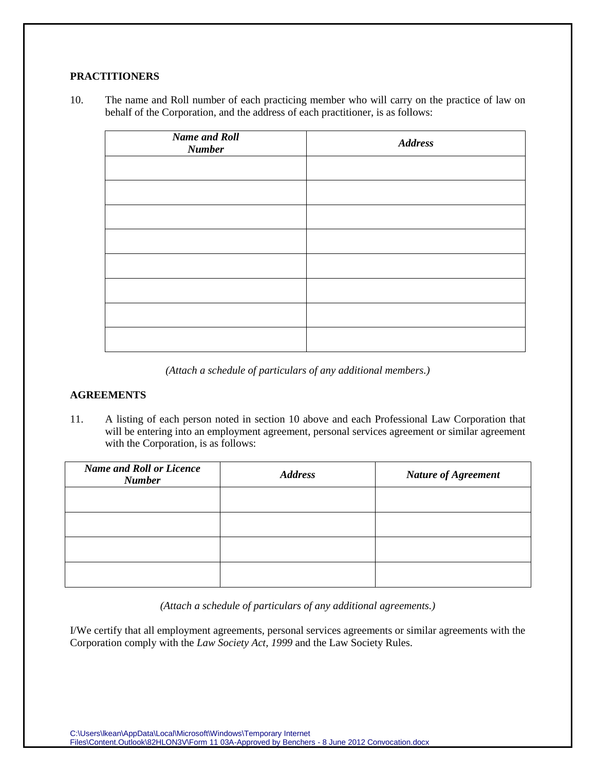# **PRACTITIONERS**

10. The name and Roll number of each practicing member who will carry on the practice of law on behalf of the Corporation, and the address of each practitioner, is as follows:

| <b>Name and Roll</b><br><b>Number</b> | <b>Address</b> |
|---------------------------------------|----------------|
|                                       |                |
|                                       |                |
|                                       |                |
|                                       |                |
|                                       |                |
|                                       |                |
|                                       |                |
|                                       |                |

*(Attach a schedule of particulars of any additional members.)*

## **AGREEMENTS**

11. A listing of each person noted in section 10 above and each Professional Law Corporation that will be entering into an employment agreement, personal services agreement or similar agreement with the Corporation, is as follows:

| <b>Name and Roll or Licence</b><br><b>Number</b> | <b>Address</b> | <b>Nature of Agreement</b> |
|--------------------------------------------------|----------------|----------------------------|
|                                                  |                |                            |
|                                                  |                |                            |
|                                                  |                |                            |
|                                                  |                |                            |

*(Attach a schedule of particulars of any additional agreements.)*

I/We certify that all employment agreements, personal services agreements or similar agreements with the Corporation comply with the *Law Society Act, 1999* and the Law Society Rules.